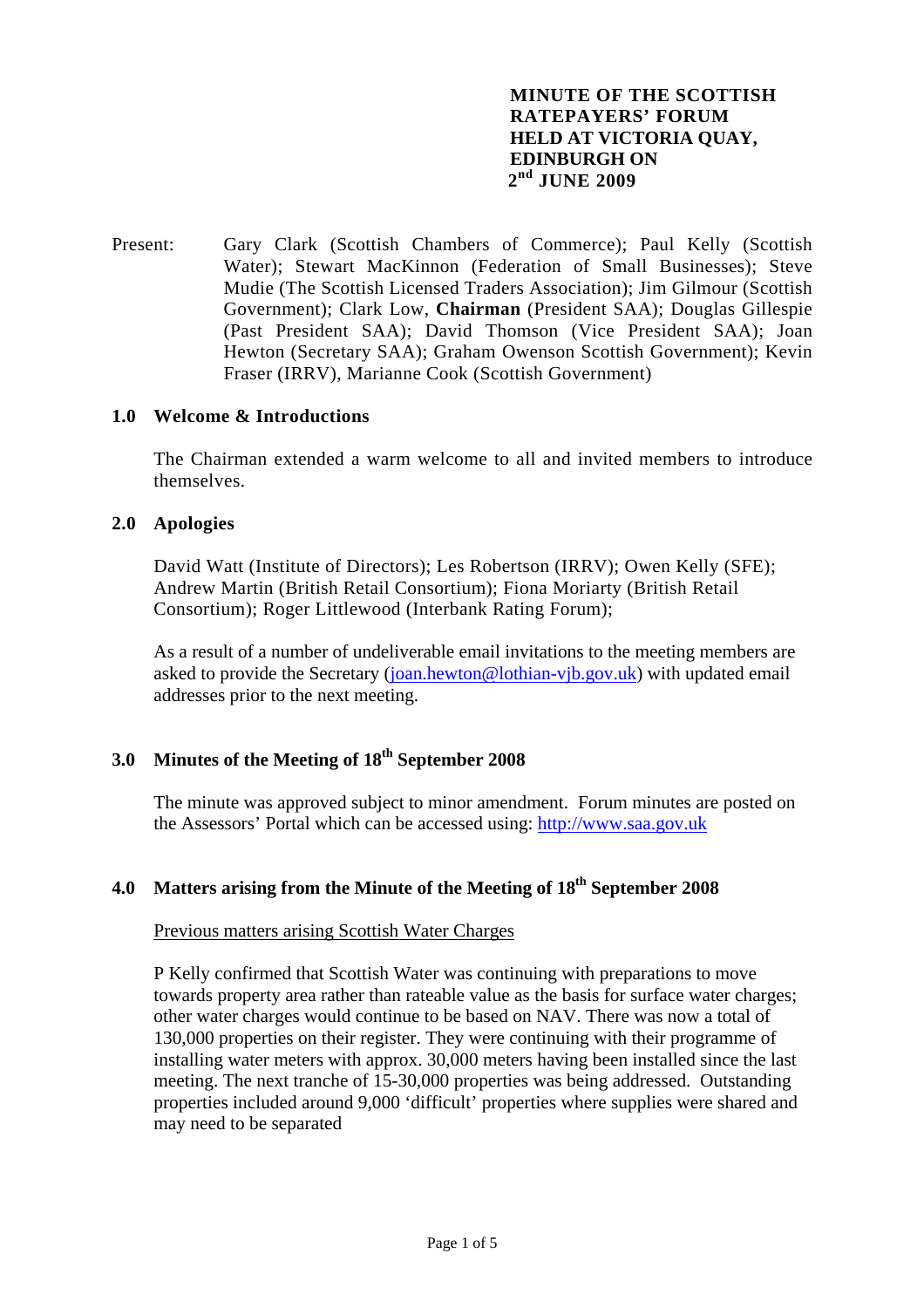# **MINUTE OF THE SCOTTISH RATEPAYERS' FORUM HELD AT VICTORIA QUAY, EDINBURGH ON 2nd JUNE 2009**

Present: Gary Clark (Scottish Chambers of Commerce); Paul Kelly (Scottish Water); Stewart MacKinnon (Federation of Small Businesses); Steve Mudie (The Scottish Licensed Traders Association); Jim Gilmour (Scottish Government); Clark Low, **Chairman** (President SAA); Douglas Gillespie (Past President SAA); David Thomson (Vice President SAA); Joan Hewton (Secretary SAA); Graham Owenson Scottish Government); Kevin Fraser (IRRV), Marianne Cook (Scottish Government)

### **1.0 Welcome & Introductions**

The Chairman extended a warm welcome to all and invited members to introduce themselves.

#### **2.0 Apologies**

 David Watt (Institute of Directors); Les Robertson (IRRV); Owen Kelly (SFE); Andrew Martin (British Retail Consortium); Fiona Moriarty (British Retail Consortium); Roger Littlewood (Interbank Rating Forum);

 As a result of a number of undeliverable email invitations to the meeting members are asked to provide the Secretary [\(joan.hewton@lothian-vjb.gov.uk\)](mailto:joan.hewton@lothian-vjb.gov.uk) with updated email addresses prior to the next meeting.

# **3.0 Minutes of the Meeting of 18th September 2008**

The minute was approved subject to minor amendment. Forum minutes are posted on the Assessors' Portal which can be accessed using: [http://www.saa.gov.uk](http://www.saa.gov.uk/)

# **4.0 Matters arising from the Minute of the Meeting of 18th September 2008**

#### Previous matters arising Scottish Water Charges

 P Kelly confirmed that Scottish Water was continuing with preparations to move towards property area rather than rateable value as the basis for surface water charges; other water charges would continue to be based on NAV. There was now a total of 130,000 properties on their register. They were continuing with their programme of installing water meters with approx. 30,000 meters having been installed since the last meeting. The next tranche of 15-30,000 properties was being addressed. Outstanding properties included around 9,000 'difficult' properties where supplies were shared and may need to be separated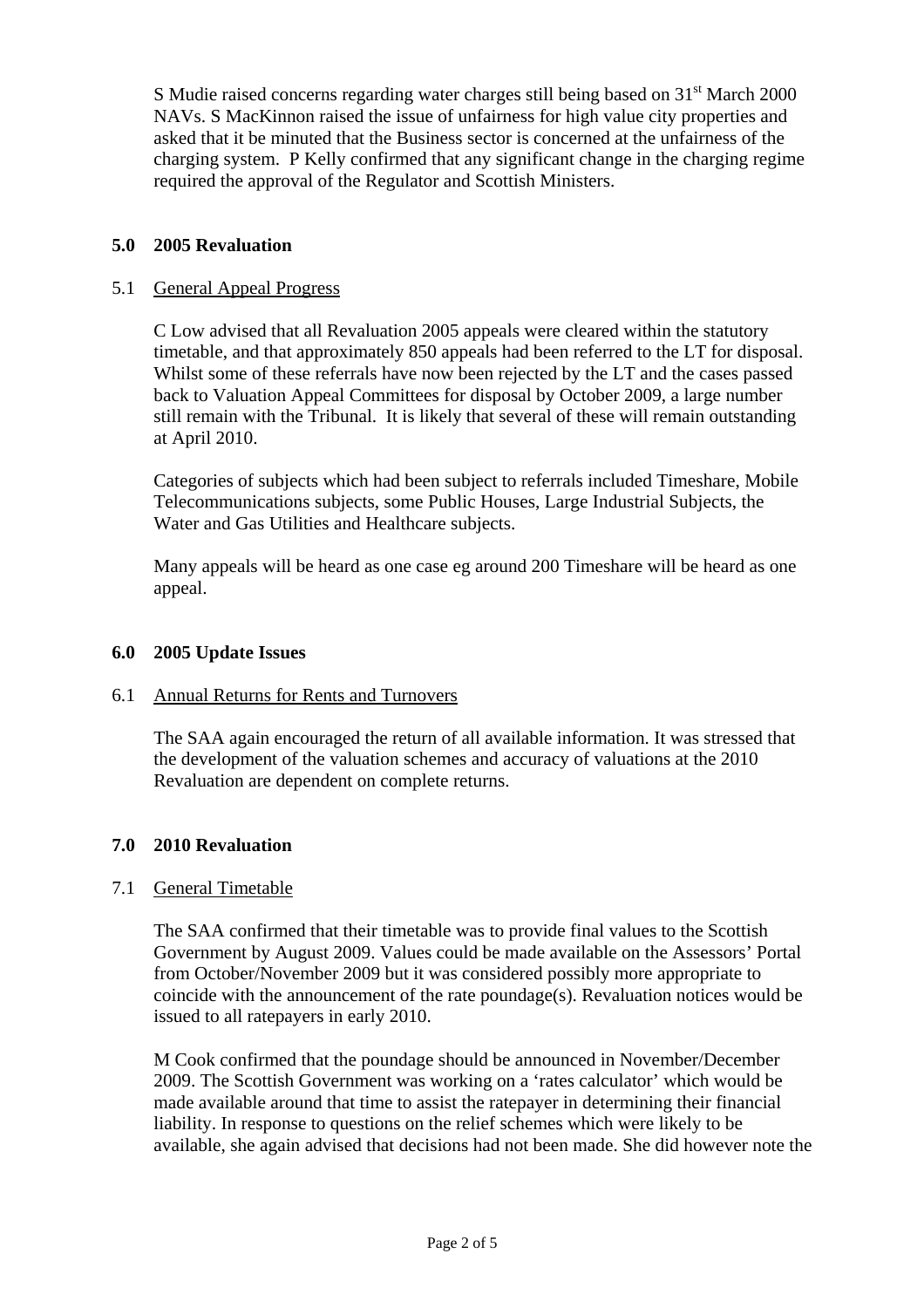S Mudie raised concerns regarding water charges still being based on 31<sup>st</sup> March 2000 NAVs. S MacKinnon raised the issue of unfairness for high value city properties and asked that it be minuted that the Business sector is concerned at the unfairness of the charging system. P Kelly confirmed that any significant change in the charging regime required the approval of the Regulator and Scottish Ministers.

# **5.0 2005 Revaluation**

# 5.1 General Appeal Progress

C Low advised that all Revaluation 2005 appeals were cleared within the statutory timetable, and that approximately 850 appeals had been referred to the LT for disposal. Whilst some of these referrals have now been rejected by the LT and the cases passed back to Valuation Appeal Committees for disposal by October 2009, a large number still remain with the Tribunal. It is likely that several of these will remain outstanding at April 2010.

Categories of subjects which had been subject to referrals included Timeshare, Mobile Telecommunications subjects, some Public Houses, Large Industrial Subjects, the Water and Gas Utilities and Healthcare subjects.

Many appeals will be heard as one case eg around 200 Timeshare will be heard as one appeal.

### **6.0 2005 Update Issues**

# 6.1 Annual Returns for Rents and Turnovers

The SAA again encouraged the return of all available information. It was stressed that the development of the valuation schemes and accuracy of valuations at the 2010 Revaluation are dependent on complete returns.

### **7.0 2010 Revaluation**

### 7.1 General Timetable

The SAA confirmed that their timetable was to provide final values to the Scottish Government by August 2009. Values could be made available on the Assessors' Portal from October/November 2009 but it was considered possibly more appropriate to coincide with the announcement of the rate poundage(s). Revaluation notices would be issued to all ratepayers in early 2010.

M Cook confirmed that the poundage should be announced in November/December 2009. The Scottish Government was working on a 'rates calculator' which would be made available around that time to assist the ratepayer in determining their financial liability. In response to questions on the relief schemes which were likely to be available, she again advised that decisions had not been made. She did however note the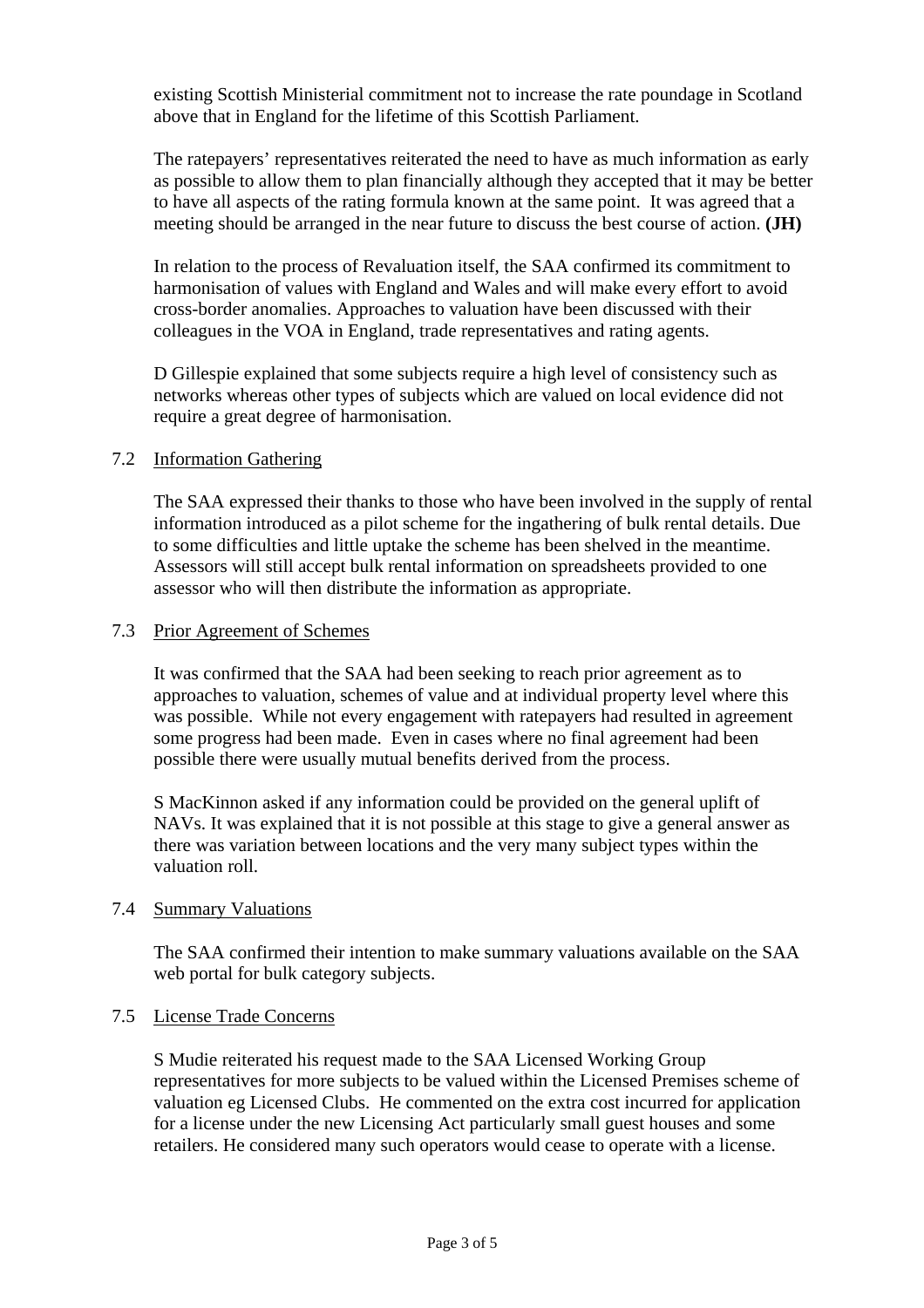existing Scottish Ministerial commitment not to increase the rate poundage in Scotland above that in England for the lifetime of this Scottish Parliament.

The ratepayers' representatives reiterated the need to have as much information as early as possible to allow them to plan financially although they accepted that it may be better to have all aspects of the rating formula known at the same point. It was agreed that a meeting should be arranged in the near future to discuss the best course of action. **(JH)** 

In relation to the process of Revaluation itself, the SAA confirmed its commitment to harmonisation of values with England and Wales and will make every effort to avoid cross-border anomalies. Approaches to valuation have been discussed with their colleagues in the VOA in England, trade representatives and rating agents.

D Gillespie explained that some subjects require a high level of consistency such as networks whereas other types of subjects which are valued on local evidence did not require a great degree of harmonisation.

# 7.2 Information Gathering

The SAA expressed their thanks to those who have been involved in the supply of rental information introduced as a pilot scheme for the ingathering of bulk rental details. Due to some difficulties and little uptake the scheme has been shelved in the meantime. Assessors will still accept bulk rental information on spreadsheets provided to one assessor who will then distribute the information as appropriate.

### 7.3 Prior Agreement of Schemes

 It was confirmed that the SAA had been seeking to reach prior agreement as to approaches to valuation, schemes of value and at individual property level where this was possible. While not every engagement with ratepayers had resulted in agreement some progress had been made. Even in cases where no final agreement had been possible there were usually mutual benefits derived from the process.

S MacKinnon asked if any information could be provided on the general uplift of NAVs. It was explained that it is not possible at this stage to give a general answer as there was variation between locations and the very many subject types within the valuation roll.

### 7.4 Summary Valuations

 The SAA confirmed their intention to make summary valuations available on the SAA web portal for bulk category subjects.

# 7.5 License Trade Concerns

S Mudie reiterated his request made to the SAA Licensed Working Group representatives for more subjects to be valued within the Licensed Premises scheme of valuation eg Licensed Clubs. He commented on the extra cost incurred for application for a license under the new Licensing Act particularly small guest houses and some retailers. He considered many such operators would cease to operate with a license.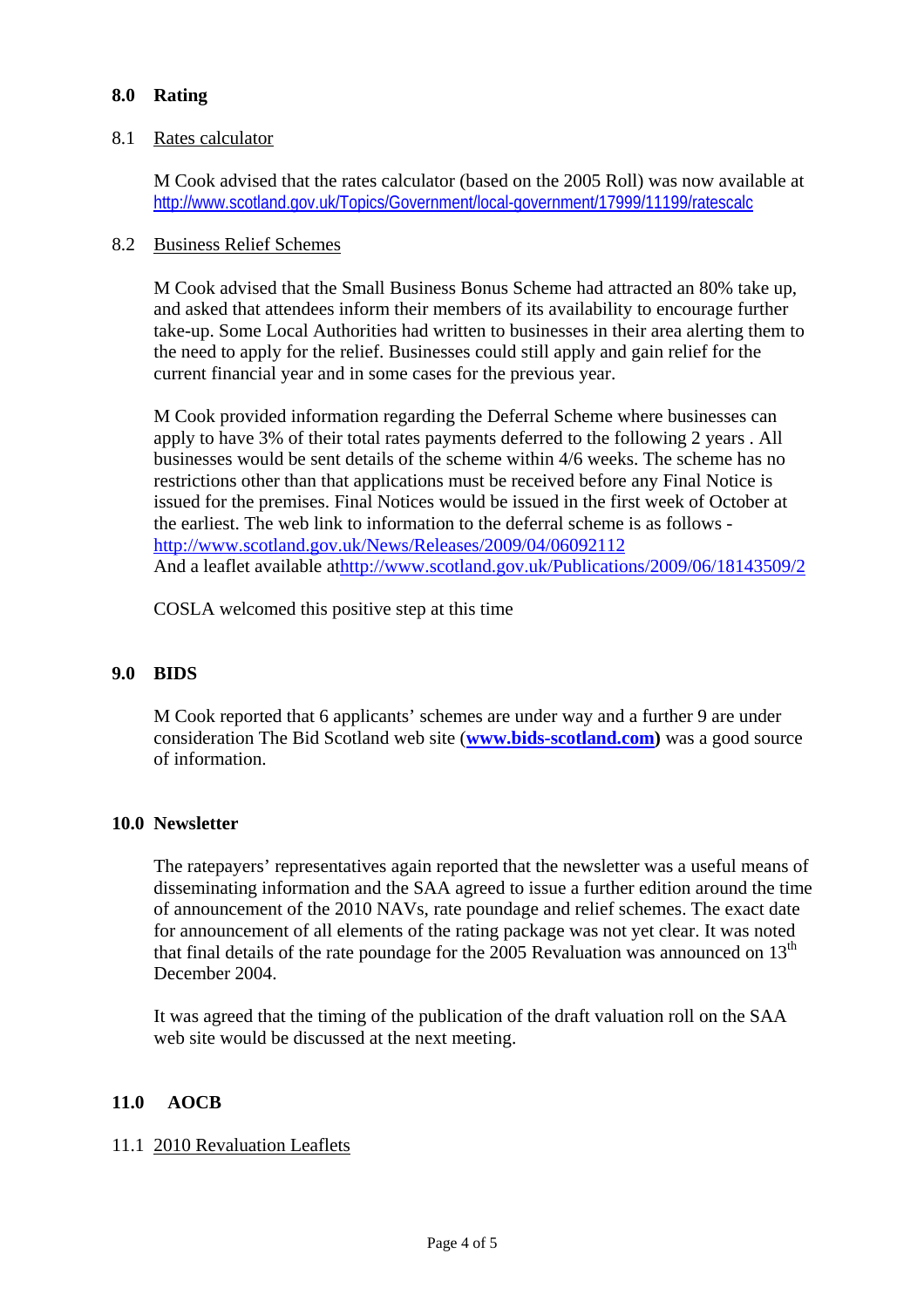# **8.0 Rating**

# 8.1 Rates calculator

 M Cook advised that the rates calculator (based on the 2005 Roll) was now available at http://www.scotland.gov.uk/Topics/Government/local-government/17999/11199/ratescalc

# 8.2 Business Relief Schemes

M Cook advised that the Small Business Bonus Scheme had attracted an 80% take up, and asked that attendees inform their members of its availability to encourage further take-up. Some Local Authorities had written to businesses in their area alerting them to the need to apply for the relief. Businesses could still apply and gain relief for the current financial year and in some cases for the previous year.

M Cook provided information regarding the Deferral Scheme where businesses can apply to have 3% of their total rates payments deferred to the following 2 years . All businesses would be sent details of the scheme within 4/6 weeks. The scheme has no restrictions other than that applications must be received before any Final Notice is issued for the premises. Final Notices would be issued in the first week of October at the earliest. The web link to information to the deferral scheme is as follows <http://www.scotland.gov.uk/News/Releases/2009/04/06092112> And a leaflet available athttp://www.scotland.gov.uk/Publications/2009/06/18143509/2

COSLA welcomed this positive step at this time

### **9.0 BIDS**

M Cook reported that 6 applicants' schemes are under way and a further 9 are under consideration The Bid Scotland web site (**[www.bids-scotland.com\)](http://www.bids-scotland.com/)** was a good source of information.

# **10.0 Newsletter**

The ratepayers' representatives again reported that the newsletter was a useful means of disseminating information and the SAA agreed to issue a further edition around the time of announcement of the 2010 NAVs, rate poundage and relief schemes. The exact date for announcement of all elements of the rating package was not yet clear. It was noted that final details of the rate poundage for the 2005 Revaluation was announced on  $13<sup>th</sup>$ December 2004.

It was agreed that the timing of the publication of the draft valuation roll on the SAA web site would be discussed at the next meeting.

# **11.0 AOCB**

### 11.1 2010 Revaluation Leaflets